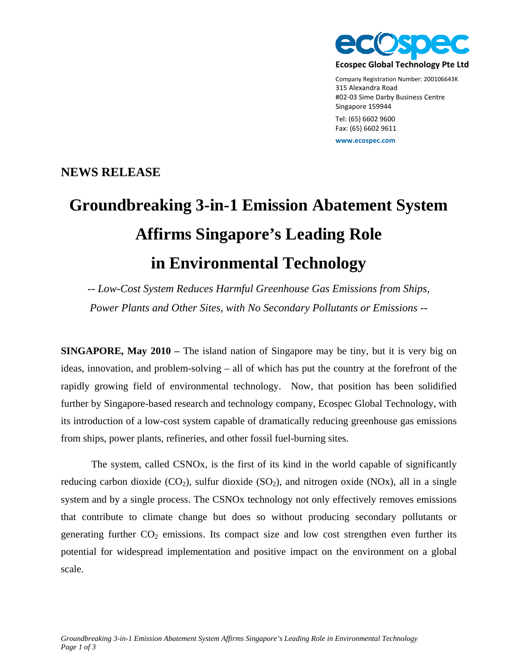

Company Registration Number: 200106643K 315 Alexandra Road #02‐03 Sime Darby Business Centre Singapore 159944 Tel: (65) 6602 9600

Fax: (65) 6602 9611

**www.ecospec.com**

## **NEWS RELEASE**

## **Groundbreaking 3-in-1 Emission Abatement System Affirms Singapore's Leading Role in Environmental Technology**

*-- Low-Cost System Reduces Harmful Greenhouse Gas Emissions from Ships, Power Plants and Other Sites, with No Secondary Pollutants or Emissions --* 

**SINGAPORE, May 2010** – The island nation of Singapore may be tiny, but it is very big on ideas, innovation, and problem-solving – all of which has put the country at the forefront of the rapidly growing field of environmental technology. Now, that position has been solidified further by Singapore-based research and technology company, Ecospec Global Technology, with its introduction of a low-cost system capable of dramatically reducing greenhouse gas emissions from ships, power plants, refineries, and other fossil fuel-burning sites.

The system, called CSNOx, is the first of its kind in the world capable of significantly reducing carbon dioxide  $(CO_2)$ , sulfur dioxide  $(SO_2)$ , and nitrogen oxide  $(NOx)$ , all in a single system and by a single process. The CSNOx technology not only effectively removes emissions that contribute to climate change but does so without producing secondary pollutants or generating further  $CO<sub>2</sub>$  emissions. Its compact size and low cost strengthen even further its potential for widespread implementation and positive impact on the environment on a global scale.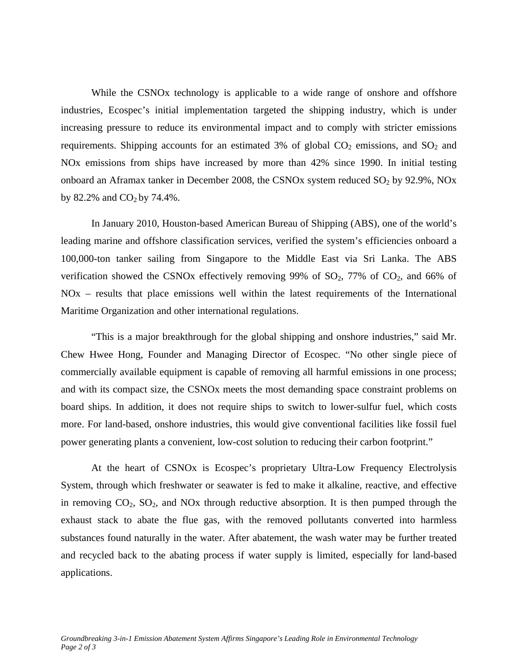While the CSNOx technology is applicable to a wide range of onshore and offshore industries, Ecospec's initial implementation targeted the shipping industry, which is under increasing pressure to reduce its environmental impact and to comply with stricter emissions requirements. Shipping accounts for an estimated 3% of global  $CO<sub>2</sub>$  emissions, and  $SO<sub>2</sub>$  and NOx emissions from ships have increased by more than 42% since 1990. In initial testing onboard an Aframax tanker in December 2008, the CSNOx system reduced  $SO_2$  by 92.9%, NOx by 82.2% and  $CO<sub>2</sub>$  by 74.4%.

In January 2010, Houston-based American Bureau of Shipping (ABS), one of the world's leading marine and offshore classification services, verified the system's efficiencies onboard a 100,000-ton tanker sailing from Singapore to the Middle East via Sri Lanka. The ABS verification showed the CSNOx effectively removing 99% of  $SO_2$ , 77% of  $CO_2$ , and 66% of NOx – results that place emissions well within the latest requirements of the International Maritime Organization and other international regulations.

"This is a major breakthrough for the global shipping and onshore industries," said Mr. Chew Hwee Hong, Founder and Managing Director of Ecospec. "No other single piece of commercially available equipment is capable of removing all harmful emissions in one process; and with its compact size, the CSNOx meets the most demanding space constraint problems on board ships. In addition, it does not require ships to switch to lower-sulfur fuel, which costs more. For land-based, onshore industries, this would give conventional facilities like fossil fuel power generating plants a convenient, low-cost solution to reducing their carbon footprint."

At the heart of CSNOx is Ecospec's proprietary Ultra-Low Frequency Electrolysis System, through which freshwater or seawater is fed to make it alkaline, reactive, and effective in removing  $CO<sub>2</sub>$ ,  $SO<sub>2</sub>$ , and NOx through reductive absorption. It is then pumped through the exhaust stack to abate the flue gas, with the removed pollutants converted into harmless substances found naturally in the water. After abatement, the wash water may be further treated and recycled back to the abating process if water supply is limited, especially for land-based applications.